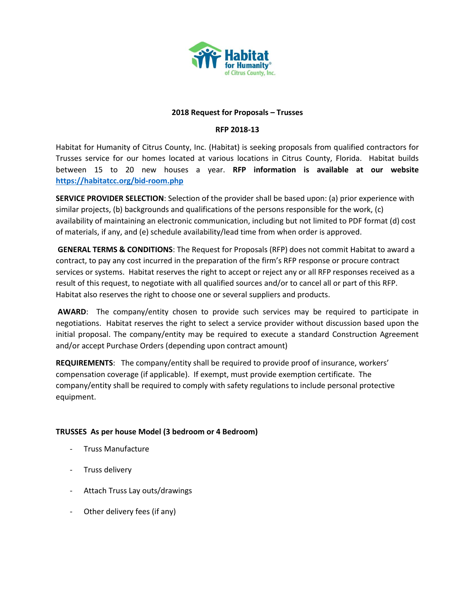

#### **2018 Request for Proposals – Trusses**

# **RFP 2018-13**

Habitat for Humanity of Citrus County, Inc. (Habitat) is seeking proposals from qualified contractors for Trusses service for our homes located at various locations in Citrus County, Florida. Habitat builds between 15 to 20 new houses a year. **RFP information is available at our website <https://habitatcc.org/bid-room.php>**

**SERVICE PROVIDER SELECTION**: Selection of the provider shall be based upon: (a) prior experience with similar projects, (b) backgrounds and qualifications of the persons responsible for the work, (c) availability of maintaining an electronic communication, including but not limited to PDF format (d) cost of materials, if any, and (e) schedule availability/lead time from when order is approved.

**GENERAL TERMS & CONDITIONS**: The Request for Proposals (RFP) does not commit Habitat to award a contract, to pay any cost incurred in the preparation of the firm's RFP response or procure contract services or systems. Habitat reserves the right to accept or reject any or all RFP responses received as a result of this request, to negotiate with all qualified sources and/or to cancel all or part of this RFP. Habitat also reserves the right to choose one or several suppliers and products.

**AWARD**: The company/entity chosen to provide such services may be required to participate in negotiations. Habitat reserves the right to select a service provider without discussion based upon the initial proposal. The company/entity may be required to execute a standard Construction Agreement and/or accept Purchase Orders (depending upon contract amount)

**REQUIREMENTS**: The company/entity shall be required to provide proof of insurance, workers' compensation coverage (if applicable). If exempt, must provide exemption certificate. The company/entity shall be required to comply with safety regulations to include personal protective equipment.

### **TRUSSES As per house Model (3 bedroom or 4 Bedroom)**

- Truss Manufacture
- Truss delivery
- Attach Truss Lay outs/drawings
- Other delivery fees (if any)